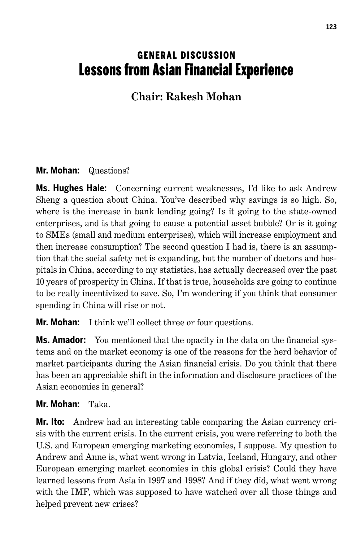# **GENERAL DISCUSSION** Lessons from Asian Financial Experience

# **Chair: Rakesh Mohan**

## **Mr. Mohan:** Questions?

**Ms. Hughes Hale:** Concerning current weaknesses, I'd like to ask Andrew Sheng a question about China. You've described why savings is so high. So, where is the increase in bank lending going? Is it going to the state-owned enterprises, and is that going to cause a potential asset bubble? Or is it going to SMEs (small and medium enterprises), which will increase employment and then increase consumption? The second question I had is, there is an assumption that the social safety net is expanding, but the number of doctors and hospitals in China, according to my statistics, has actually decreased over the past 10 years of prosperity in China. If that is true, households are going to continue to be really incentivized to save. So, I'm wondering if you think that consumer spending in China will rise or not.

**Mr. Mohan:** I think we'll collect three or four questions.

**Ms. Amador:** You mentioned that the opacity in the data on the financial systems and on the market economy is one of the reasons for the herd behavior of market participants during the Asian financial crisis. Do you think that there has been an appreciable shift in the information and disclosure practices of the Asian economies in general?

#### **Mr. Mohan:** Taka.

**Mr. Ito:** Andrew had an interesting table comparing the Asian currency crisis with the current crisis. In the current crisis, you were referring to both the U.S. and European emerging marketing economies, I suppose. My question to Andrew and Anne is, what went wrong in Latvia, Iceland, Hungary, and other European emerging market economies in this global crisis? Could they have learned lessons from Asia in 1997 and 1998? And if they did, what went wrong with the IMF, which was supposed to have watched over all those things and helped prevent new crises?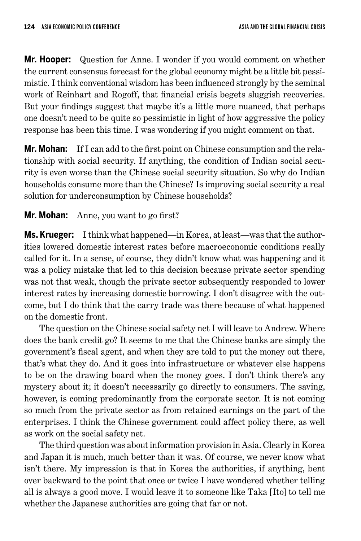**Mr. Hooper:** Question for Anne. I wonder if you would comment on whether the current consensus forecast for the global economy might be a little bit pessimistic. I think conventional wisdom has been influenced strongly by the seminal work of Reinhart and Rogoff, that financial crisis begets sluggish recoveries. But your findings suggest that maybe it's a little more nuanced, that perhaps one doesn't need to be quite so pessimistic in light of how aggressive the policy response has been this time. I was wondering if you might comment on that.

**Mr. Mohan:** If I can add to the first point on Chinese consumption and the relationship with social security. If anything, the condition of Indian social security is even worse than the Chinese social security situation. So why do Indian households consume more than the Chinese? Is improving social security a real solution for underconsumption by Chinese households?

## **Mr. Mohan:** Anne, you want to go first?

**Ms. Krueger:** I think what happened—in Korea, at least—was that the authorities lowered domestic interest rates before macroeconomic conditions really called for it. In a sense, of course, they didn't know what was happening and it was a policy mistake that led to this decision because private sector spending was not that weak, though the private sector subsequently responded to lower interest rates by increasing domestic borrowing. I don't disagree with the outcome, but I do think that the carry trade was there because of what happened on the domestic front.

The question on the Chinese social safety net I will leave to Andrew. Where does the bank credit go? It seems to me that the Chinese banks are simply the government's fiscal agent, and when they are told to put the money out there, that's what they do. And it goes into infrastructure or whatever else happens to be on the drawing board when the money goes. I don't think there's any mystery about it; it doesn't necessarily go directly to consumers. The saving, however, is coming predominantly from the corporate sector. It is not coming so much from the private sector as from retained earnings on the part of the enterprises. I think the Chinese government could affect policy there, as well as work on the social safety net.

The third question was about information provision in Asia. Clearly in Korea and Japan it is much, much better than it was. Of course, we never know what isn't there. My impression is that in Korea the authorities, if anything, bent over backward to the point that once or twice I have wondered whether telling all is always a good move. I would leave it to someone like Taka [Ito] to tell me whether the Japanese authorities are going that far or not.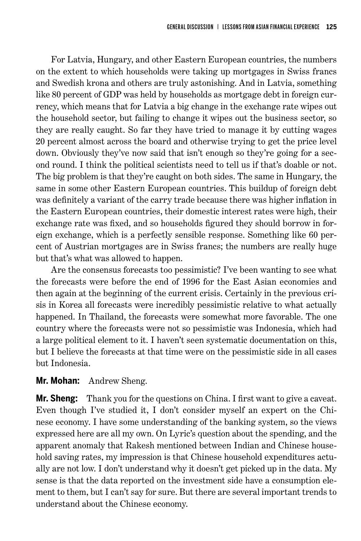For Latvia, Hungary, and other Eastern European countries, the numbers on the extent to which households were taking up mortgages in Swiss francs and Swedish krona and others are truly astonishing. And in Latvia, something like 80 percent of GDP was held by households as mortgage debt in foreign currency, which means that for Latvia a big change in the exchange rate wipes out the household sector, but failing to change it wipes out the business sector, so they are really caught. So far they have tried to manage it by cutting wages 20 percent almost across the board and otherwise trying to get the price level down. Obviously they've now said that isn't enough so they're going for a second round. I think the political scientists need to tell us if that's doable or not. The big problem is that they're caught on both sides. The same in Hungary, the same in some other Eastern European countries. This buildup of foreign debt was definitely a variant of the carry trade because there was higher inflation in the Eastern European countries, their domestic interest rates were high, their exchange rate was fixed, and so households figured they should borrow in foreign exchange, which is a perfectly sensible response. Something like 60 percent of Austrian mortgages are in Swiss francs; the numbers are really huge but that's what was allowed to happen.

Are the consensus forecasts too pessimistic? I've been wanting to see what the forecasts were before the end of 1996 for the East Asian economies and then again at the beginning of the current crisis. Certainly in the previous crisis in Korea all forecasts were incredibly pessimistic relative to what actually happened. In Thailand, the forecasts were somewhat more favorable. The one country where the forecasts were not so pessimistic was Indonesia, which had a large political element to it. I haven't seen systematic documentation on this, but I believe the forecasts at that time were on the pessimistic side in all cases but Indonesia.

#### **Mr. Mohan:** Andrew Sheng.

**Mr. Sheng:** Thank you for the questions on China. I first want to give a caveat. Even though I've studied it, I don't consider myself an expert on the Chinese economy. I have some understanding of the banking system, so the views expressed here are all my own. On Lyric's question about the spending, and the apparent anomaly that Rakesh mentioned between Indian and Chinese household saving rates, my impression is that Chinese household expenditures actually are not low. I don't understand why it doesn't get picked up in the data. My sense is that the data reported on the investment side have a consumption element to them, but I can't say for sure. But there are several important trends to understand about the Chinese economy.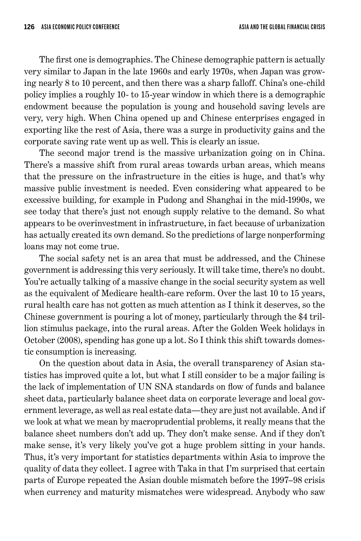The first one is demographics. The Chinese demographic pattern is actually very similar to Japan in the late 1960s and early 1970s, when Japan was growing nearly 8 to 10 percent, and then there was a sharp falloff. China's one-child policy implies a roughly 10- to 15-year window in which there is a demographic endowment because the population is young and household saving levels are very, very high. When China opened up and Chinese enterprises engaged in exporting like the rest of Asia, there was a surge in productivity gains and the corporate saving rate went up as well. This is clearly an issue.

The second major trend is the massive urbanization going on in China. There's a massive shift from rural areas towards urban areas, which means that the pressure on the infrastructure in the cities is huge, and that's why massive public investment is needed. Even considering what appeared to be excessive building, for example in Pudong and Shanghai in the mid-1990s, we see today that there's just not enough supply relative to the demand. So what appears to be overinvestment in infrastructure, in fact because of urbanization has actually created its own demand. So the predictions of large nonperforming loans may not come true.

The social safety net is an area that must be addressed, and the Chinese government is addressing this very seriously. It will take time, there's no doubt. You're actually talking of a massive change in the social security system as well as the equivalent of Medicare health-care reform. Over the last 10 to 15 years, rural health care has not gotten as much attention as I think it deserves, so the Chinese government is pouring a lot of money, particularly through the \$4 trillion stimulus package, into the rural areas. After the Golden Week holidays in October (2008), spending has gone up a lot. So I think this shift towards domestic consumption is increasing.

On the question about data in Asia, the overall transparency of Asian statistics has improved quite a lot, but what I still consider to be a major failing is the lack of implementation of UN SNA standards on flow of funds and balance sheet data, particularly balance sheet data on corporate leverage and local government leverage, as well as real estate data—they are just not available. And if we look at what we mean by macroprudential problems, it really means that the balance sheet numbers don't add up. They don't make sense. And if they don't make sense, it's very likely you've got a huge problem sitting in your hands. Thus, it's very important for statistics departments within Asia to improve the quality of data they collect. I agree with Taka in that I'm surprised that certain parts of Europe repeated the Asian double mismatch before the 1997–98 crisis when currency and maturity mismatches were widespread. Anybody who saw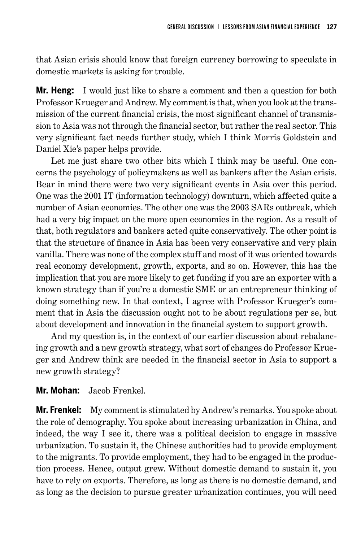that Asian crisis should know that foreign currency borrowing to speculate in domestic markets is asking for trouble.

**Mr. Heng:** I would just like to share a comment and then a question for both Professor Krueger and Andrew. My comment is that, when you look at the transmission of the current financial crisis, the most significant channel of transmission to Asia was not through the financial sector, but rather the real sector. This very significant fact needs further study, which I think Morris Goldstein and Daniel Xie's paper helps provide.

Let me just share two other bits which I think may be useful. One concerns the psychology of policymakers as well as bankers after the Asian crisis. Bear in mind there were two very significant events in Asia over this period. One was the 2001 IT (information technology) downturn, which affected quite a number of Asian economies. The other one was the 2003 SARs outbreak, which had a very big impact on the more open economies in the region. As a result of that, both regulators and bankers acted quite conservatively. The other point is that the structure of finance in Asia has been very conservative and very plain vanilla. There was none of the complex stuff and most of it was oriented towards real economy development, growth, exports, and so on. However, this has the implication that you are more likely to get funding if you are an exporter with a known strategy than if you're a domestic SME or an entrepreneur thinking of doing something new. In that context, I agree with Professor Krueger's comment that in Asia the discussion ought not to be about regulations per se, but about development and innovation in the financial system to support growth.

And my question is, in the context of our earlier discussion about rebalancing growth and a new growth strategy, what sort of changes do Professor Krueger and Andrew think are needed in the financial sector in Asia to support a new growth strategy?

#### **Mr. Mohan:** Jacob Frenkel.

**Mr. Frenkel:** My comment is stimulated by Andrew's remarks. You spoke about the role of demography. You spoke about increasing urbanization in China, and indeed, the way I see it, there was a political decision to engage in massive urbanization. To sustain it, the Chinese authorities had to provide employment to the migrants. To provide employment, they had to be engaged in the production process. Hence, output grew. Without domestic demand to sustain it, you have to rely on exports. Therefore, as long as there is no domestic demand, and as long as the decision to pursue greater urbanization continues, you will need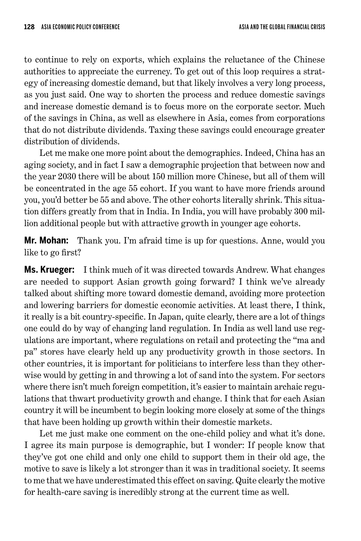to continue to rely on exports, which explains the reluctance of the Chinese authorities to appreciate the currency. To get out of this loop requires a strategy of increasing domestic demand, but that likely involves a very long process, as you just said. One way to shorten the process and reduce domestic savings and increase domestic demand is to focus more on the corporate sector. Much of the savings in China, as well as elsewhere in Asia, comes from corporations that do not distribute dividends. Taxing these savings could encourage greater distribution of dividends.

Let me make one more point about the demographics. Indeed, China has an aging society, and in fact I saw a demographic projection that between now and the year 2030 there will be about 150 million more Chinese, but all of them will be concentrated in the age 55 cohort. If you want to have more friends around you, you'd better be 55 and above. The other cohorts literally shrink. This situation differs greatly from that in India. In India, you will have probably 300 million additional people but with attractive growth in younger age cohorts.

**Mr. Mohan:** Thank you. I'm afraid time is up for questions. Anne, would you like to go first?

**Ms. Krueger:** I think much of it was directed towards Andrew. What changes are needed to support Asian growth going forward? I think we've already talked about shifting more toward domestic demand, avoiding more protection and lowering barriers for domestic economic activities. At least there, I think, it really is a bit country-specific. In Japan, quite clearly, there are a lot of things one could do by way of changing land regulation. In India as well land use regulations are important, where regulations on retail and protecting the "ma and pa" stores have clearly held up any productivity growth in those sectors. In other countries, it is important for politicians to interfere less than they otherwise would by getting in and throwing a lot of sand into the system. For sectors where there isn't much foreign competition, it's easier to maintain archaic regulations that thwart productivity growth and change. I think that for each Asian country it will be incumbent to begin looking more closely at some of the things that have been holding up growth within their domestic markets.

Let me just make one comment on the one-child policy and what it's done. I agree its main purpose is demographic, but I wonder: If people know that they've got one child and only one child to support them in their old age, the motive to save is likely a lot stronger than it was in traditional society. It seems to me that we have underestimated this effect on saving. Quite clearly the motive for health-care saving is incredibly strong at the current time as well.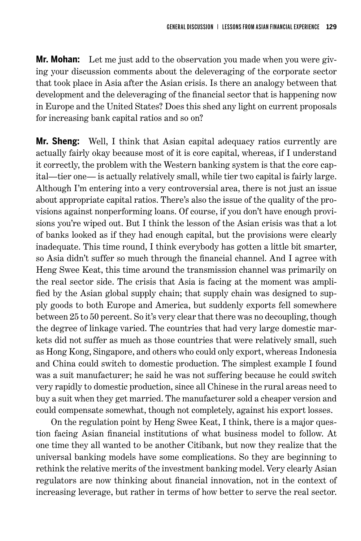**Mr. Mohan:** Let me just add to the observation you made when you were giving your discussion comments about the deleveraging of the corporate sector that took place in Asia after the Asian crisis. Is there an analogy between that development and the deleveraging of the financial sector that is happening now in Europe and the United States? Does this shed any light on current proposals for increasing bank capital ratios and so on?

**Mr. Sheng:** Well, I think that Asian capital adequacy ratios currently are actually fairly okay because most of it is core capital, whereas, if I understand it correctly, the problem with the Western banking system is that the core capital—tier one— is actually relatively small, while tier two capital is fairly large. Although I'm entering into a very controversial area, there is not just an issue about appropriate capital ratios. There's also the issue of the quality of the provisions against nonperforming loans. Of course, if you don't have enough provisions you're wiped out. But I think the lesson of the Asian crisis was that a lot of banks looked as if they had enough capital, but the provisions were clearly inadequate. This time round, I think everybody has gotten a little bit smarter, so Asia didn't suffer so much through the financial channel. And I agree with Heng Swee Keat, this time around the transmission channel was primarily on the real sector side. The crisis that Asia is facing at the moment was amplified by the Asian global supply chain; that supply chain was designed to supply goods to both Europe and America, but suddenly exports fell somewhere between 25 to 50 percent. So it's very clear that there was no decoupling, though the degree of linkage varied. The countries that had very large domestic markets did not suffer as much as those countries that were relatively small, such as Hong Kong, Singapore, and others who could only export, whereas Indonesia and China could switch to domestic production. The simplest example I found was a suit manufacturer; he said he was not suffering because he could switch very rapidly to domestic production, since all Chinese in the rural areas need to buy a suit when they get married. The manufacturer sold a cheaper version and could compensate somewhat, though not completely, against his export losses.

On the regulation point by Heng Swee Keat, I think, there is a major question facing Asian financial institutions of what business model to follow. At one time they all wanted to be another Citibank, but now they realize that the universal banking models have some complications. So they are beginning to rethink the relative merits of the investment banking model. Very clearly Asian regulators are now thinking about financial innovation, not in the context of increasing leverage, but rather in terms of how better to serve the real sector.